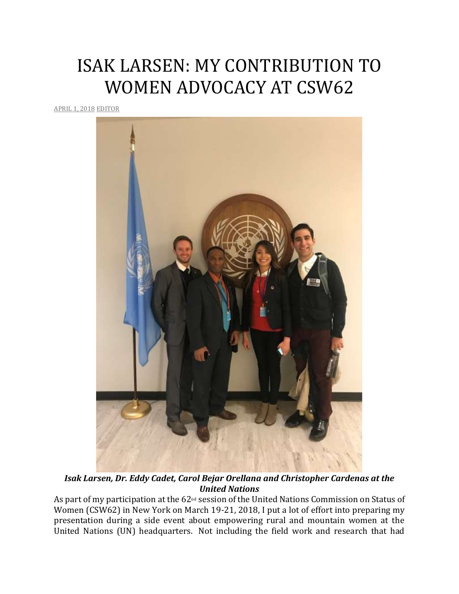## ISAK LARSEN: MY CONTRIBUTION TO WOMEN ADVOCACY AT CSW62

[APRIL](http://utahimf.org/archives/3517) 1, 2018 [EDITOR](http://utahimf.org/archives/author/editor)



*Isak Larsen, Dr. Eddy Cadet, Carol Bejar Orellana and Christopher Cardenas at the United Nations*

As part of my participation at the 62<sup>nd</sup> session of the United Nations Commission on Status of Women (CSW62) in New York on March 19-21, 2018, I put a lot of effort into preparing my presentation during a side event about empowering rural and mountain women at the United Nations (UN) headquarters. Not including the field work and research that had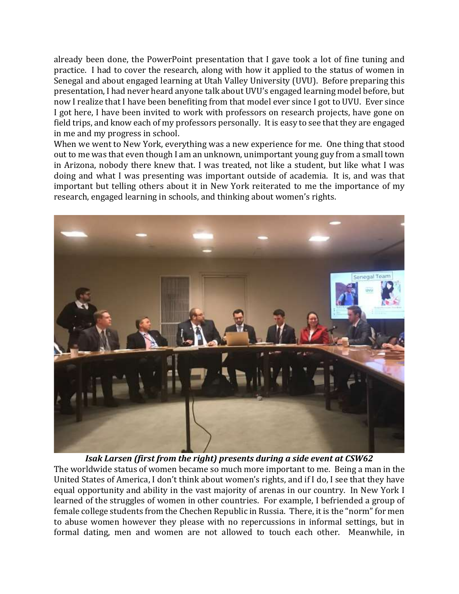already been done, the PowerPoint presentation that I gave took a lot of fine tuning and practice. I had to cover the research, along with how it applied to the status of women in Senegal and about engaged learning at Utah Valley University (UVU). Before preparing this presentation, I had never heard anyone talk about UVU's engaged learning model before, but now I realize that I have been benefiting from that model ever since I got to UVU. Ever since I got here, I have been invited to work with professors on research projects, have gone on field trips, and know each of my professors personally. It is easy to see that they are engaged in me and my progress in school.

When we went to New York, everything was a new experience for me. One thing that stood out to me was that even though I am an unknown, unimportant young guy from a small town in Arizona, nobody there knew that. I was treated, not like a student, but like what I was doing and what I was presenting was important outside of academia. It is, and was that important but telling others about it in New York reiterated to me the importance of my research, engaged learning in schools, and thinking about women's rights.



*Isak Larsen (first from the right) presents during a side event at CSW62* The worldwide status of women became so much more important to me. Being a man in the United States of America, I don't think about women's rights, and if I do, I see that they have equal opportunity and ability in the vast majority of arenas in our country. In New York I learned of the struggles of women in other countries. For example, I befriended a group of female college students from the Chechen Republic in Russia. There, it is the "norm" for men to abuse women however they please with no repercussions in informal settings, but in formal dating, men and women are not allowed to touch each other. Meanwhile, in